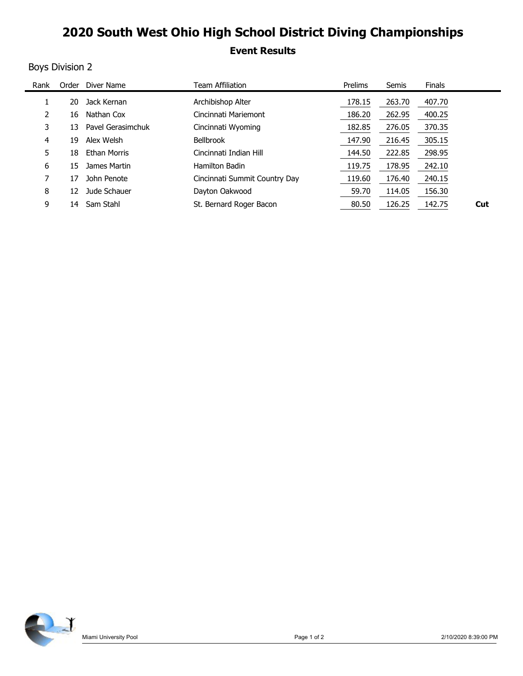## 2020 South West Ohio High School District Diving Championships

### Event Results

### Boys Division 2

|                |                           | 2020 South West Ohio High School District Diving Championships |         |        |        |     |
|----------------|---------------------------|----------------------------------------------------------------|---------|--------|--------|-----|
|                |                           |                                                                |         |        |        |     |
|                |                           |                                                                |         |        |        |     |
|                |                           | <b>Event Results</b>                                           |         |        |        |     |
|                | <b>Boys Division 2</b>    |                                                                |         |        |        |     |
| Rank           | Order Diver Name          | <b>Team Affiliation</b>                                        | Prelims | Semis  | Finals |     |
| $\mathbf{1}$   | 20 Jack Kernan            | Archibishop Alter                                              | 178.15  | 263.70 | 407.70 |     |
| $\overline{2}$ | Nathan Cox<br>16          | Cincinnati Mariemont                                           | 186.20  | 262.95 | 400.25 |     |
| 3              | Pavel Gerasimchuk<br>13   | Cincinnati Wyoming                                             | 182.85  | 276.05 | 370.35 |     |
| 4              | Alex Welsh<br>19          | Bellbrook                                                      | 147.90  | 216.45 | 305.15 |     |
| 5              | 18<br><b>Ethan Morris</b> | Cincinnati Indian Hill                                         | 144.50  | 222.85 | 298.95 |     |
| 6              | James Martin<br>15        | Hamilton Badin                                                 | 119.75  | 178.95 | 242.10 |     |
| 7              | 17 John Penote            | Cincinnati Summit Country Day                                  | 119.60  | 176.40 | 240.15 |     |
| 8              | 12 Jude Schauer           | Dayton Oakwood                                                 | 59.70   | 114.05 | 156.30 |     |
| 9              | 14 Sam Stahl              | St. Bernard Roger Bacon                                        | 80.50   | 126.25 | 142.75 | Cut |